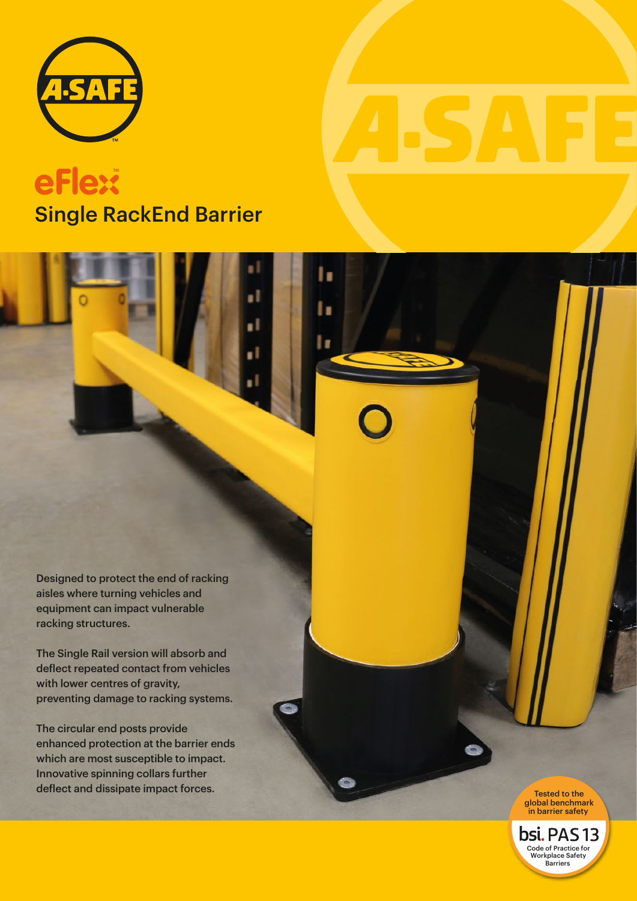

# Single RackEnd Barrier **eFlext**

۱.

Designed to protect the end of racking aisles where turning vehicles and equipment can impact vulnerable racking structures.

The Single Rail version will absorb and deflect repeated contact from vehicles with lower centres of gravity, preventing damage to racking systems.

The circular end posts provide enhanced protection at the barrier ends which are most susceptible to impact. Innovative spinning collars further deflect and dissipate impact forces.

Tested to the<br>global benchmark in barrier safety

**bsi.** PAS 13 Code of Practice for Workplace Safety Barriers